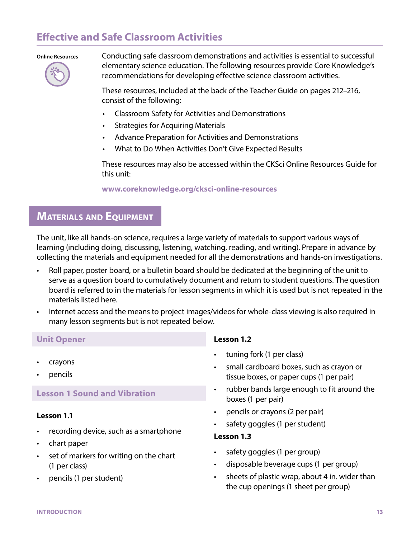# **Effective and Safe Classroom Activities**

#### **Online Resources**



Conducting safe classroom demonstrations and activities is essential to successful elementary science education. The following resources provide Core Knowledge's recommendations for developing effective science classroom activities.

These resources, included at the back of the Teacher Guide on pages 212–216, consist of the following:

- Classroom Safety for Activities and Demonstrations
- Strategies for Acquiring Materials
- Advance Preparation for Activities and Demonstrations
- What to Do When Activities Don't Give Expected Results

These resources may also be accessed within the CKSci Online Resources Guide for this unit:

#### **www.coreknowledge.org/cksci-online-resources**

# **MATERIALS AND EQUIPMENT**

The unit, like all hands-on science, requires a large variety of materials to support various ways of learning (including doing, discussing, listening, watching, reading, and writing). Prepare in advance by collecting the materials and equipment needed for all the demonstrations and hands-on investigations.

- Roll paper, poster board, or a bulletin board should be dedicated at the beginning of the unit to serve as a question board to cumulatively document and return to student questions. The question board is referred to in the materials for lesson segments in which it is used but is not repeated in the materials listed here.
- Internet access and the means to project images/videos for whole-class viewing is also required in many lesson segments but is not repeated below.

#### **Unit Opener**

- crayons
- pencils

## **Lesson 1 Sound and Vibration**

#### **Lesson 1.1**

- recording device, such as a smartphone
- chart paper
- set of markers for writing on the chart (1 per class)
- pencils (1 per student)

#### **Lesson 1.2**

- tuning fork (1 per class)
- small cardboard boxes, such as crayon or tissue boxes, or paper cups (1 per pair)
- rubber bands large enough to fit around the boxes (1 per pair)
- pencils or crayons (2 per pair)
- safety goggles (1 per student)

#### **Lesson 1.3**

- safety goggles (1 per group)
- disposable beverage cups (1 per group)
- sheets of plastic wrap, about 4 in. wider than the cup openings (1 sheet per group)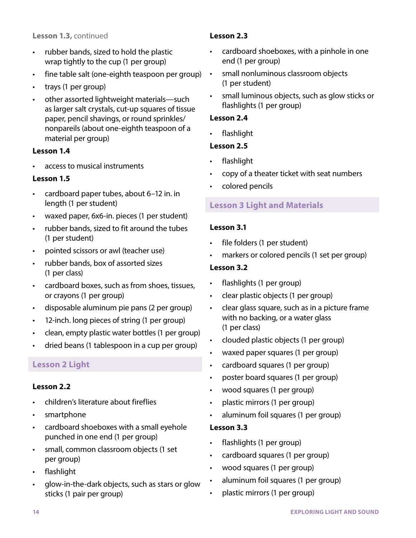#### **Lesson 1.3,** continued

- rubber bands, sized to hold the plastic wrap tightly to the cup (1 per group)
- fine table salt (one-eighth teaspoon per group)
- trays (1 per group)
- other assorted lightweight materials—such as larger salt crystals, cut-up squares of tissue paper, pencil shavings, or round sprinkles/ nonpareils (about one-eighth teaspoon of a material per group)

#### **Lesson 1.4**

• access to musical instruments

#### **Lesson 1.5**

- cardboard paper tubes, about 6–12 in. in length (1 per student)
- waxed paper, 6x6-in. pieces (1 per student)
- rubber bands, sized to fit around the tubes (1 per student)
- pointed scissors or awl (teacher use)
- rubber bands, box of assorted sizes (1 per class)
- cardboard boxes, such as from shoes, tissues, or crayons (1 per group)
- disposable aluminum pie pans (2 per group)
- 12-inch. long pieces of string (1 per group)
- clean, empty plastic water bottles (1 per group)
- dried beans (1 tablespoon in a cup per group)

#### **Lesson 2 Light**

#### **Lesson 2.2**

- children's literature about fireflies
- smartphone
- cardboard shoeboxes with a small eyehole punched in one end (1 per group)
- small, common classroom objects (1 set per group)
- flashlight
- glow-in-the-dark objects, such as stars or glow sticks (1 pair per group)

#### **Lesson 2.3**

- cardboard shoeboxes, with a pinhole in one end (1 per group)
- small nonluminous classroom objects (1 per student)
	- small luminous objects, such as glow sticks or flashlights (1 per group)

#### **Lesson 2.4**

• flashlight

### **Lesson 2.5**

- flashlight
- copy of a theater ticket with seat numbers
- colored pencils

### **Lesson 3 Light and Materials**

#### **Lesson 3.1**

- file folders (1 per student)
- markers or colored pencils (1 set per group)

#### **Lesson 3.2**

- flashlights (1 per group)
- clear plastic objects (1 per group)
- clear glass square, such as in a picture frame with no backing, or a water glass (1 per class)
- clouded plastic objects (1 per group)
- waxed paper squares (1 per group)
- cardboard squares (1 per group)
- poster board squares (1 per group)
- wood squares (1 per group)
- plastic mirrors (1 per group)
- aluminum foil squares (1 per group)

#### **Lesson 3.3**

- flashlights (1 per group)
- cardboard squares (1 per group)
- wood squares (1 per group)
- aluminum foil squares (1 per group)
- plastic mirrors (1 per group)